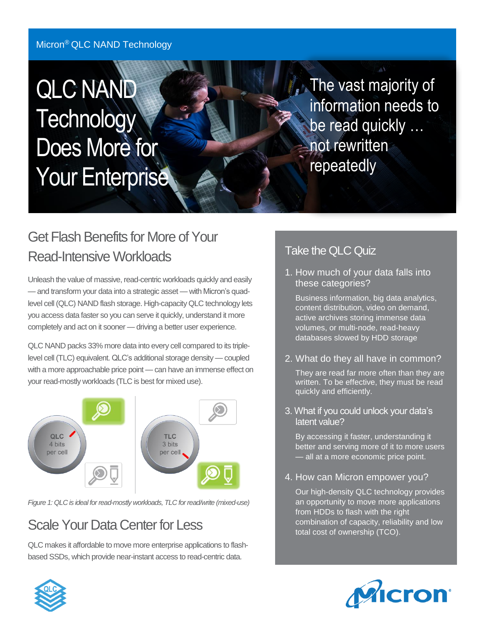#### Micron® QLC NAND Technology

# QLC NAND **Technology** Does More for Your Enterprise

**The vast majority of** information needs to be read quickly … not rewritten repeatedly

#### Read-Intensive Workloads Get Flash Benefits for More of Your Read-Intensive Workloads

Unleash the value of massive, read-centric workloads quickly and easily — and transform your data into a strategic asset — with Micron's quadlevel cell (QLC) NAND flash storage. High-capacity QLC technology lets you access data faster so you can serve it quickly, understand it more completely and act on it sooner — driving a better user experience.

QLC NAND packs 33% more data into every cell compared to its triplelevel cell (TLC) equivalent. QLC's additional storage density — coupled with a more approachable price point — can have an immense effect on your read-mostly workloads (TLC is best for mixed use).



*Figure 1: QLC is ideal for read-mostly workloads, TLC for read/write (mixed-use)* 

## Scale Your Data Center for Less

 QLC makes it affordable to move more enterprise applications to flashbased SSDs, which provide near-instant access to read-centric data.

#### Take the QLC Quiz

1. How much of your data falls into these categories?

Business information, big data analytics, content distribution, video on demand, active archives storing immense data volumes, or multi-node, read-heavy databases slowed by HDD storage

2. What do they all have in common?

They are read far more often than they are written. To be effective, they must be read quickly and efficiently.

3. What if you could unlock your data's latent value?

By accessing it faster, understanding it better and serving more of it to more users — all at a more economic price point.

4. How can Micron empower you?

Our high-density QLC technology provides an opportunity to move more applications from HDDs to flash with the right combination of capacity, reliability and low total cost of ownership (TCO).